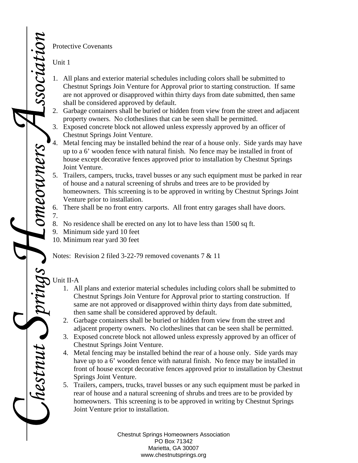Protective Covenants

Unit 1

- 1. All plans and exterior material schedules including colors shall be submitted to Chestnut Springs Join Venture for Approval prior to starting construction. If same are not approved or disapproved within thirty days from date submitted, then same shall be considered approved by default.
- 2. Garbage containers shall be buried or hidden from view from the street and adjacent property owners. No clotheslines that can be seen shall be permitted.
- 3. Exposed concrete block not allowed unless expressly approved by an officer of Chestnut Springs Joint Venture.
- Metal fencing may be installed behind the rear of a house only. Side yards may have up to a 6' wooden fence with natural finish. No fence may be installed in front of house except decorative fences approved prior to installation by Chestnut Springs Joint Venture.
- 5. Trailers, campers, trucks, travel busses or any such equipment must be parked in rear of house and a natural screening of shrubs and trees are to be provided by homeowners. This screening is to be approved in writing by Chestnut Springs Joint Venture prior to installation.
- 6. There shall be no front entry carports. All front entry garages shall have doors.
- 8. No residence shall be erected on any lot to have less than 1500 sq ft.
- 9. Minimum side yard 10 feet
- 10. Minimum rear yard 30 feet

Notes: Revision 2 filed 3-22-79 removed covenants 7 & 11

## *Springs*  Unit II-A

7.

*Homeowners* 

*Association*

*Chestnut* 

- 1. All plans and exterior material schedules including colors shall be submitted to Chestnut Springs Join Venture for Approval prior to starting construction. If same are not approved or disapproved within thirty days from date submitted, then same shall be considered approved by default.
- 2. Garbage containers shall be buried or hidden from view from the street and adjacent property owners. No clotheslines that can be seen shall be permitted.
- 3. Exposed concrete block not allowed unless expressly approved by an officer of Chestnut Springs Joint Venture.
- 4. Metal fencing may be installed behind the rear of a house only. Side yards may have up to a 6' wooden fence with natural finish. No fence may be installed in front of house except decorative fences approved prior to installation by Chestnut Springs Joint Venture.
- 5. Trailers, campers, trucks, travel busses or any such equipment must be parked in rear of house and a natural screening of shrubs and trees are to be provided by homeowners. This screening is to be approved in writing by Chestnut Springs Joint Venture prior to installation.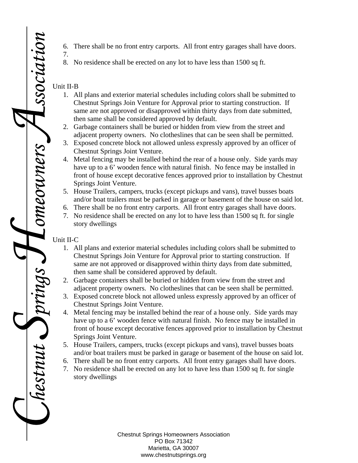- 6. There shall be no front entry carports. All front entry garages shall have doors.
- 8. No residence shall be erected on any lot to have less than 1500 sq ft.

## Unit II-B

7.

- 1. All plans and exterior material schedules including colors shall be submitted to Chestnut Springs Join Venture for Approval prior to starting construction. If same are not approved or disapproved within thirty days from date submitted, then same shall be considered approved by default.
- 2. Garbage containers shall be buried or hidden from view from the street and adjacent property owners. No clotheslines that can be seen shall be permitted.
- 3. Exposed concrete block not allowed unless expressly approved by an officer of Chestnut Springs Joint Venture.
- 4. Metal fencing may be installed behind the rear of a house only. Side yards may have up to a 6' wooden fence with natural finish. No fence may be installed in front of house except decorative fences approved prior to installation by Chestnut Springs Joint Venture.
- 5. House Trailers, campers, trucks (except pickups and vans), travel busses boats and/or boat trailers must be parked in garage or basement of the house on said lot.
- 6. There shall be no front entry carports. All front entry garages shall have doors.
- 7. No residence shall be erected on any lot to have less than 1500 sq ft. for single story dwellings

## Unit II-C

*Chestnut* 

*Springs* 

*Homeowners* 

*Association*

- 1. All plans and exterior material schedules including colors shall be submitted to Chestnut Springs Join Venture for Approval prior to starting construction. If same are not approved or disapproved within thirty days from date submitted, then same shall be considered approved by default.
- 2. Garbage containers shall be buried or hidden from view from the street and adjacent property owners. No clotheslines that can be seen shall be permitted.
- 3. Exposed concrete block not allowed unless expressly approved by an officer of Chestnut Springs Joint Venture.
- 4. Metal fencing may be installed behind the rear of a house only. Side yards may have up to a 6' wooden fence with natural finish. No fence may be installed in front of house except decorative fences approved prior to installation by Chestnut Springs Joint Venture.
- 5. House Trailers, campers, trucks (except pickups and vans), travel busses boats and/or boat trailers must be parked in garage or basement of the house on said lot.
- 6. There shall be no front entry carports. All front entry garages shall have doors.
- 7. No residence shall be erected on any lot to have less than 1500 sq ft. for single story dwellings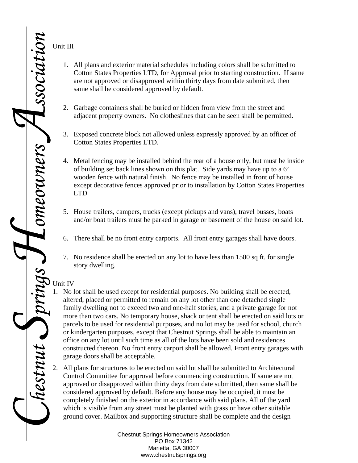Unit III

- 1. All plans and exterior material schedules including colors shall be submitted to Cotton States Properties LTD, for Approval prior to starting construction. If same are not approved or disapproved within thirty days from date submitted, then same shall be considered approved by default.
- 2. Garbage containers shall be buried or hidden from view from the street and adjacent property owners. No clotheslines that can be seen shall be permitted.
- 3. Exposed concrete block not allowed unless expressly approved by an officer of Cotton States Properties LTD.
- 4. Metal fencing may be installed behind the rear of a house only, but must be inside of building set back lines shown on this plat. Side yards may have up to a 6' wooden fence with natural finish. No fence may be installed in front of house except decorative fences approved prior to installation by Cotton States Properties LTD
- 5. House trailers, campers, trucks (except pickups and vans), travel busses, boats and/or boat trailers must be parked in garage or basement of the house on said lot.
- 6. There shall be no front entry carports. All front entry garages shall have doors.
- 7. No residence shall be erected on any lot to have less than 1500 sq ft. for single story dwelling.

## Unit IV

- 1. No lot shall be used except for residential purposes. No building shall be erected, altered, placed or permitted to remain on any lot other than one detached single family dwelling not to exceed two and one-half stories, and a private garage for not more than two cars. No temporary house, shack or tent shall be erected on said lots or parcels to be used for residential purposes, and no lot may be used for school, church or kindergarten purposes, except that Chestnut Springs shall be able to maintain an office on any lot until such time as all of the lots have been sold and residences constructed thereon. No front entry carport shall be allowed. Front entry garages with garage doors shall be acceptable.
- 2. All plans for structures to be erected on said lot shall be submitted to Architectural Control Committee for approval before commencing construction. If same are not approved or disapproved within thirty days from date submitted, then same shall be considered approved by default. Before any house may be occupied, it must be completely finished on the exterior in accordance with said plans. All of the yard which is visible from any street must be planted with grass or have other suitable ground cover. Mailbox and supporting structure shall be complete and the design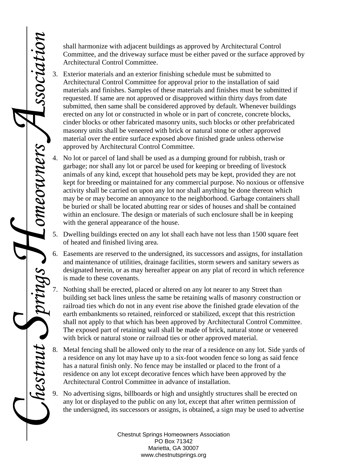shall harmonize with adjacent buildings as approved by Architectural Control Committee, and the driveway surface must be either paved or the surface approved by Architectural Control Committee.

- 3. Exterior materials and an exterior finishing schedule must be submitted to Architectural Control Committee for approval prior to the installation of said materials and finishes. Samples of these materials and finishes must be submitted if requested. If same are not approved or disapproved within thirty days from date submitted, then same shall be considered approved by default. Whenever buildings erected on any lot or constructed in whole or in part of concrete, concrete blocks, cinder blocks or other fabricated masonry units, such blocks or other prefabricated masonry units shall be veneered with brick or natural stone or other approved material over the entire surface exposed above finished grade unless otherwise approved by Architectural Control Committee.
- No lot or parcel of land shall be used as a dumping ground for rubbish, trash or garbage; nor shall any lot or parcel be used for keeping or breeding of livestock animals of any kind, except that household pets may be kept, provided they are not kept for breeding or maintained for any commercial purpose. No noxious or offensive activity shall be carried on upon any lot nor shall anything be done thereon which may be or may become an annoyance to the neighborhood. Garbage containers shall be buried or shall be located abutting rear or sides of houses and shall be contained within an enclosure. The design or materials of such enclosure shall be in keeping with the general appearance of the house.
- 5. Dwelling buildings erected on any lot shall each have not less than 1500 square feet of heated and finished living area.
- 6. Easements are reserved to the undersigned, its successors and assigns, for installation and maintenance of utilities, drainage facilities, storm sewers and sanitary sewers as designated herein, or as may hereafter appear on any plat of record in which reference is made to these covenants.
- 7. Nothing shall be erected, placed or altered on any lot nearer to any Street than building set back lines unless the same be retaining walls of masonry construction or railroad ties which do not in any event rise above the finished grade elevation of the earth embankments so retained, reinforced or stabilized, except that this restriction shall not apply to that which has been approved by Architectural Control Committee. The exposed part of retaining wall shall be made of brick, natural stone or veneered with brick or natural stone or railroad ties or other approved material.
- Metal fencing shall be allowed only to the rear of a residence on any lot. Side yards of a residence on any lot may have up to a six-foot wooden fence so long as said fence has a natural finish only. No fence may be installed or placed to the front of a residence on any lot except decorative fences which have been approved by the Architectural Control Committee in advance of installation.

*Chestnut* 

*Springs* 

*Homeowners* 

*Association*

9. No advertising signs, billboards or high and unsightly structures shall be erected on any lot or displayed to the public on any lot, except that after written permission of the undersigned, its successors or assigns, is obtained, a sign may be used to advertise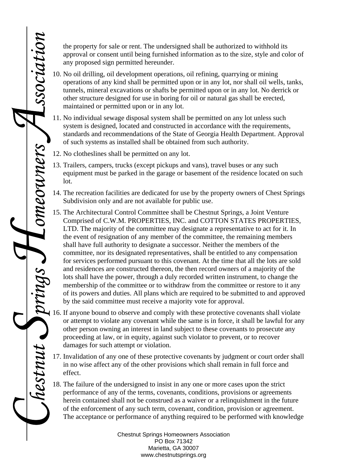the property for sale or rent. The undersigned shall be authorized to withhold its approval or consent until being furnished information as to the size, style and color of any proposed sign permitted hereunder.

- 10. No oil drilling, oil development operations, oil refining, quarrying or mining operations of any kind shall be permitted upon or in any lot, nor shall oil wells, tanks, tunnels, mineral excavations or shafts be permitted upon or in any lot. No derrick or other structure designed for use in boring for oil or natural gas shall be erected, maintained or permitted upon or in any lot.
- 11. No individual sewage disposal system shall be permitted on any lot unless such system is designed, located and constructed in accordance with the requirements, standards and recommendations of the State of Georgia Health Department. Approval of such systems as installed shall be obtained from such authority.
- 12. No clotheslines shall be permitted on any lot.

*Chestnut* 

*Springs* 

*Homeowners* 

*Association*

- 13. Trailers, campers, trucks (except pickups and vans), travel buses or any such equipment must be parked in the garage or basement of the residence located on such lot.
- 14. The recreation facilities are dedicated for use by the property owners of Chest Springs Subdivision only and are not available for public use.
- 15. The Architectural Control Committee shall be Chestnut Springs, a Joint Venture Comprised of C.W.M. PROPERTIES, INC. and COTTON STATES PROPERTIES, LTD. The majority of the committee may designate a representative to act for it. In the event of resignation of any member of the committee, the remaining members shall have full authority to designate a successor. Neither the members of the committee, nor its designated representatives, shall be entitled to any compensation for services performed pursuant to this covenant. At the time that all the lots are sold and residences are constructed thereon, the then record owners of a majority of the lots shall have the power, through a duly recorded written instrument, to change the membership of the committee or to withdraw from the committee or restore to it any of its powers and duties. All plans which are required to be submitted to and approved by the said committee must receive a majority vote for approval.
- 16. If anyone bound to observe and comply with these protective covenants shall violate or attempt to violate any covenant while the same is in force, it shall be lawful for any other person owning an interest in land subject to these covenants to prosecute any proceeding at law, or in equity, against such violator to prevent, or to recover damages for such attempt or violation.
	- 17. Invalidation of any one of these protective covenants by judgment or court order shall in no wise affect any of the other provisions which shall remain in full force and effect.
- 18. The failure of the undersigned to insist in any one or more cases upon the strict performance of any of the terms, covenants, conditions, provisions or agreements herein contained shall not be construed as a waiver or a relinquishment in the future of the enforcement of any such term, covenant, condition, provision or agreement. The acceptance or performance of anything required to be performed with knowledge